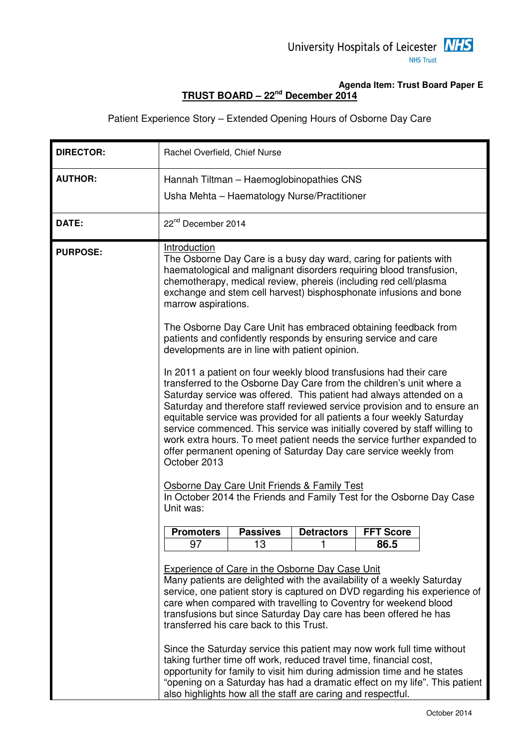## **Agenda Item: Trust Board Paper E TRUST BOARD – 22nd December 2014**

Patient Experience Story – Extended Opening Hours of Osborne Day Care

| <b>DIRECTOR:</b> | Rachel Overfield, Chief Nurse                                                                                                                                                                                                                                                                                                                                                                                                                                                                                                                                                                                                                                                                                                                                                                                                                                                                                                                                                                                                                                                                                                                                                                                                                                             |                 |                   |                  |  |
|------------------|---------------------------------------------------------------------------------------------------------------------------------------------------------------------------------------------------------------------------------------------------------------------------------------------------------------------------------------------------------------------------------------------------------------------------------------------------------------------------------------------------------------------------------------------------------------------------------------------------------------------------------------------------------------------------------------------------------------------------------------------------------------------------------------------------------------------------------------------------------------------------------------------------------------------------------------------------------------------------------------------------------------------------------------------------------------------------------------------------------------------------------------------------------------------------------------------------------------------------------------------------------------------------|-----------------|-------------------|------------------|--|
| <b>AUTHOR:</b>   | Hannah Tiltman - Haemoglobinopathies CNS                                                                                                                                                                                                                                                                                                                                                                                                                                                                                                                                                                                                                                                                                                                                                                                                                                                                                                                                                                                                                                                                                                                                                                                                                                  |                 |                   |                  |  |
|                  | Usha Mehta - Haematology Nurse/Practitioner                                                                                                                                                                                                                                                                                                                                                                                                                                                                                                                                                                                                                                                                                                                                                                                                                                                                                                                                                                                                                                                                                                                                                                                                                               |                 |                   |                  |  |
| DATE:            | 22 <sup>nd</sup> December 2014                                                                                                                                                                                                                                                                                                                                                                                                                                                                                                                                                                                                                                                                                                                                                                                                                                                                                                                                                                                                                                                                                                                                                                                                                                            |                 |                   |                  |  |
| <b>PURPOSE:</b>  | Introduction<br>The Osborne Day Care is a busy day ward, caring for patients with<br>haematological and malignant disorders requiring blood transfusion,<br>chemotherapy, medical review, phereis (including red cell/plasma<br>exchange and stem cell harvest) bisphosphonate infusions and bone<br>marrow aspirations.<br>The Osborne Day Care Unit has embraced obtaining feedback from<br>patients and confidently responds by ensuring service and care<br>developments are in line with patient opinion.<br>In 2011 a patient on four weekly blood transfusions had their care<br>transferred to the Osborne Day Care from the children's unit where a<br>Saturday service was offered. This patient had always attended on a<br>Saturday and therefore staff reviewed service provision and to ensure an<br>equitable service was provided for all patients a four weekly Saturday<br>service commenced. This service was initially covered by staff willing to<br>work extra hours. To meet patient needs the service further expanded to<br>offer permanent opening of Saturday Day care service weekly from<br>October 2013<br>Osborne Day Care Unit Friends & Family Test<br>In October 2014 the Friends and Family Test for the Osborne Day Case<br>Unit was: |                 |                   |                  |  |
|                  |                                                                                                                                                                                                                                                                                                                                                                                                                                                                                                                                                                                                                                                                                                                                                                                                                                                                                                                                                                                                                                                                                                                                                                                                                                                                           |                 |                   |                  |  |
|                  | <b>Promoters</b>                                                                                                                                                                                                                                                                                                                                                                                                                                                                                                                                                                                                                                                                                                                                                                                                                                                                                                                                                                                                                                                                                                                                                                                                                                                          | <b>Passives</b> | <b>Detractors</b> | <b>FFT Score</b> |  |
|                  | 97                                                                                                                                                                                                                                                                                                                                                                                                                                                                                                                                                                                                                                                                                                                                                                                                                                                                                                                                                                                                                                                                                                                                                                                                                                                                        | 13              | 1                 | 86.5             |  |
|                  | <b>Experience of Care in the Osborne Day Case Unit</b><br>Many patients are delighted with the availability of a weekly Saturday<br>service, one patient story is captured on DVD regarding his experience of<br>care when compared with travelling to Coventry for weekend blood<br>transfusions but since Saturday Day care has been offered he has<br>transferred his care back to this Trust.<br>Since the Saturday service this patient may now work full time without<br>taking further time off work, reduced travel time, financial cost,<br>opportunity for family to visit him during admission time and he states                                                                                                                                                                                                                                                                                                                                                                                                                                                                                                                                                                                                                                              |                 |                   |                  |  |
|                  | "opening on a Saturday has had a dramatic effect on my life". This patient<br>also highlights how all the staff are caring and respectful.                                                                                                                                                                                                                                                                                                                                                                                                                                                                                                                                                                                                                                                                                                                                                                                                                                                                                                                                                                                                                                                                                                                                |                 |                   |                  |  |